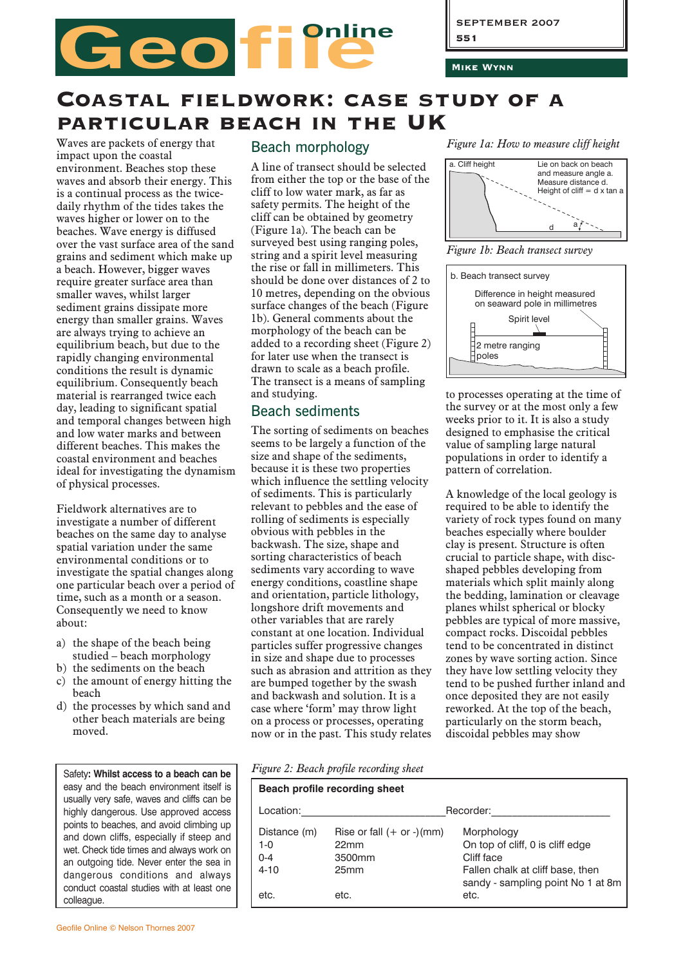Mike Wynn

# Coastal fieldwork: case study of a particular beach in the UK

Geo file

Waves are packets of energy that impact upon the coastal environment. Beaches stop these waves and absorb their energy. This is a continual process as the twicedaily rhythm of the tides takes the waves higher or lower on to the beaches. Wave energy is diffused over the vast surface area of the sand grains and sediment which make up a beach. However, bigger waves require greater surface area than smaller waves, whilst larger sediment grains dissipate more energy than smaller grains. Waves are always trying to achieve an equilibrium beach, but due to the rapidly changing environmental conditions the result is dynamic equilibrium. Consequently beach material is rearranged twice each day, leading to significant spatial and temporal changes between high and low water marks and between different beaches. This makes the coastal environment and beaches ideal for investigating the dynamism of physical processes.

Fieldwork alternatives are to investigate a number of different beaches on the same day to analyse spatial variation under the same environmental conditions or to investigate the spatial changes along one particular beach over a period of time, such as a month or a season. Consequently we need to know about:

- a) the shape of the beach being studied – beach morphology
- b) the sediments on the beach
- c) the amount of energy hitting the beach
- d) the processes by which sand and other beach materials are being moved.

Safety**: Whilst access to a beach can be** easy and the beach environment itself is usually very safe, waves and cliffs can be highly dangerous. Use approved access points to beaches, and avoid climbing up and down cliffs, especially if steep and wet. Check tide times and always work on an outgoing tide. Never enter the sea in dangerous conditions and always conduct coastal studies with at least one colleague.

#### Beach morphology

A line of transect should be selected from either the top or the base of the cliff to low water mark, as far as safety permits. The height of the cliff can be obtained by geometry (Figure 1a). The beach can be surveyed best using ranging poles, string and a spirit level measuring the rise or fall in millimeters. This should be done over distances of 2 to 10 metres, depending on the obvious surface changes of the beach (Figure 1b). General comments about the morphology of the beach can be added to a recording sheet (Figure 2) for later use when the transect is drawn to scale as a beach profile. The transect is a means of sampling and studying.

### Beach sediments

The sorting of sediments on beaches seems to be largely a function of the size and shape of the sediments, because it is these two properties which influence the settling velocity of sediments. This is particularly relevant to pebbles and the ease of rolling of sediments is especially obvious with pebbles in the backwash. The size, shape and sorting characteristics of beach sediments vary according to wave energy conditions, coastline shape and orientation, particle lithology, longshore drift movements and other variables that are rarely constant at one location. Individual particles suffer progressive changes in size and shape due to processes such as abrasion and attrition as they are bumped together by the swash and backwash and solution. It is a case where 'form' may throw light on a process or processes, operating now or in the past. This study relates

*Figure 1a: How to measure cliff height*



*Figure 1b: Beach transect survey*



to processes operating at the time of the survey or at the most only a few weeks prior to it. It is also a study designed to emphasise the critical value of sampling large natural populations in order to identify a populations in order to raemin<br>pattern of correlation.

A knowledge of the local geology is required to be able to identify the variety of rock types found on many beaches especially where boulder clay is present. Structure is often crucial to particle shape, with discshaped pebbles developing from materials which split mainly along the bedding, lamination or cleavage planes whilst spherical or blocky pebbles are typical of more massive, compact rocks. Discoidal pebbles tend to be concentrated in distinct zones by wave sorting action. Since they have low settling velocity they tend to be pushed further inland and once deposited they are not easily reworked. At the top of the beach, particularly on the storm beach, discoidal pebbles may show

*Figure 2: Beach profile recording sheet*

| Beach profile recording sheet                  |                                                                                 |                                                                                                                                       |  |  |  |  |  |  |
|------------------------------------------------|---------------------------------------------------------------------------------|---------------------------------------------------------------------------------------------------------------------------------------|--|--|--|--|--|--|
| Location:                                      |                                                                                 | Recorder:                                                                                                                             |  |  |  |  |  |  |
| Distance (m)<br>$1 - 0$<br>$0 - 4$<br>$4 - 10$ | Rise or fall $(+$ or $-)(mm)$<br>22 <sub>mm</sub><br>3500mm<br>25 <sub>mm</sub> | Morphology<br>On top of cliff, 0 is cliff edge<br>Cliff face<br>Fallen chalk at cliff base, then<br>sandy - sampling point No 1 at 8m |  |  |  |  |  |  |
| etc.                                           | etc.                                                                            | etc.                                                                                                                                  |  |  |  |  |  |  |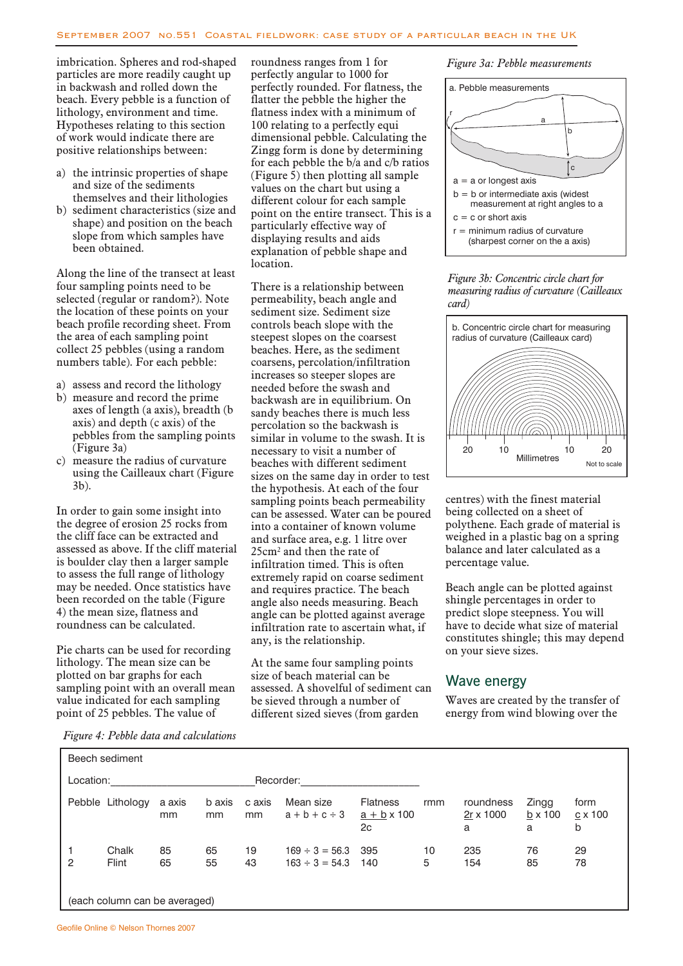imbrication. Spheres and rod-shaped particles are more readily caught up in backwash and rolled down the beach. Every pebble is a function of lithology, environment and time. Hypotheses relating to this section of work would indicate there are positive relationships between:

- a) the intrinsic properties of shape and size of the sediments themselves and their lithologies
- b) sediment characteristics (size and shape) and position on the beach slope from which samples have been obtained.

Along the line of the transect at least four sampling points need to be selected (regular or random?). Note the location of these points on your beach profile recording sheet. From the area of each sampling point collect 25 pebbles (using a random numbers table). For each pebble:

- a) assess and record the lithology
- b) measure and record the prime axes of length (a axis), breadth (b axis) and depth (c axis) of the pebbles from the sampling points (Figure 3a)
- c) measure the radius of curvature using the Cailleaux chart (Figure 3b).

In order to gain some insight into the degree of erosion 25 rocks from the cliff face can be extracted and assessed as above. If the cliff material is boulder clay then a larger sample to assess the full range of lithology may be needed. Once statistics have been recorded on the table (Figure 4) the mean size, flatness and roundness can be calculated.

Pie charts can be used for recording lithology. The mean size can be plotted on bar graphs for each sampling point with an overall mean value indicated for each sampling point of 25 pebbles. The value of

roundness ranges from 1 for perfectly angular to 1000 for perfectly rounded. For flatness, the flatter the pebble the higher the flatness index with a minimum of 100 relating to a perfectly equi dimensional pebble. Calculating the Zingg form is done by determining for each pebble the b/a and c/b ratios (Figure 5) then plotting all sample values on the chart but using a different colour for each sample point on the entire transect. This is a particularly effective way of displaying results and aids explanation of pebble shape and location.

There is a relationship between permeability, beach angle and sediment size. Sediment size controls beach slope with the steepest slopes on the coarsest beaches. Here, as the sediment coarsens, percolation/infiltration increases so steeper slopes are needed before the swash and backwash are in equilibrium. On sandy beaches there is much less percolation so the backwash is similar in volume to the swash. It is necessary to visit a number of beaches with different sediment sizes on the same day in order to test the hypothesis. At each of the four sampling points beach permeability can be assessed. Water can be poured into a container of known volume and surface area, e.g. 1 litre over 25cm2 and then the rate of infiltration timed. This is often extremely rapid on coarse sediment and requires practice. The beach angle also needs measuring. Beach angle can be plotted against average infiltration rate to ascertain what, if any, is the relationship.

At the same four sampling points size of beach material can be assessed. A shovelful of sediment can be sieved through a number of different sized sieves (from garden





#### GeoFile Series 26 Issue 1 *measuring radius of curvature (Cailleaux*  $\frac{1}{\tan a}$ *Figure 3b: Concentric circle chart for card)*



centres) with the finest material being collected on a sheet of being conceted on a sheet of<br>polythene. Each grade of material is weighed in a plastic bag on a spring balance and later calculated as a percentage value. fythene. Each grade of material

Beach angle can be plotted against shingle percentages in order to predict slope steepness. You will have to decide what size of material constitutes shingle; this may depend on your sieve sizes.

#### Wave energy

Waves are created by the transfer of energy from wind blowing over the

*Figure 4: Pebble data and calculations*

| Location: |                  | Recorder:               |              |              |                                                |                                             |         |                             |                              |                      |
|-----------|------------------|-------------------------|--------------|--------------|------------------------------------------------|---------------------------------------------|---------|-----------------------------|------------------------------|----------------------|
|           | Pebble Lithology | a axis<br><sub>mm</sub> | b axis<br>mm | c axis<br>mm | Mean size<br>$a + b + c \div 3$                | <b>Flatness</b><br>$a + b \times 100$<br>2c | rmm     | roundness<br>2r x 1000<br>a | Zingg<br>$b \times 100$<br>a | form<br>c x 100<br>b |
| 2         | Chalk<br>Flint   | 85<br>65                | 65<br>55     | 19<br>43     | $169 \div 3 = 56.3$ 395<br>$163 \div 3 = 54.3$ | 140                                         | 10<br>5 | 235<br>154                  | 76<br>85                     | 29<br>78             |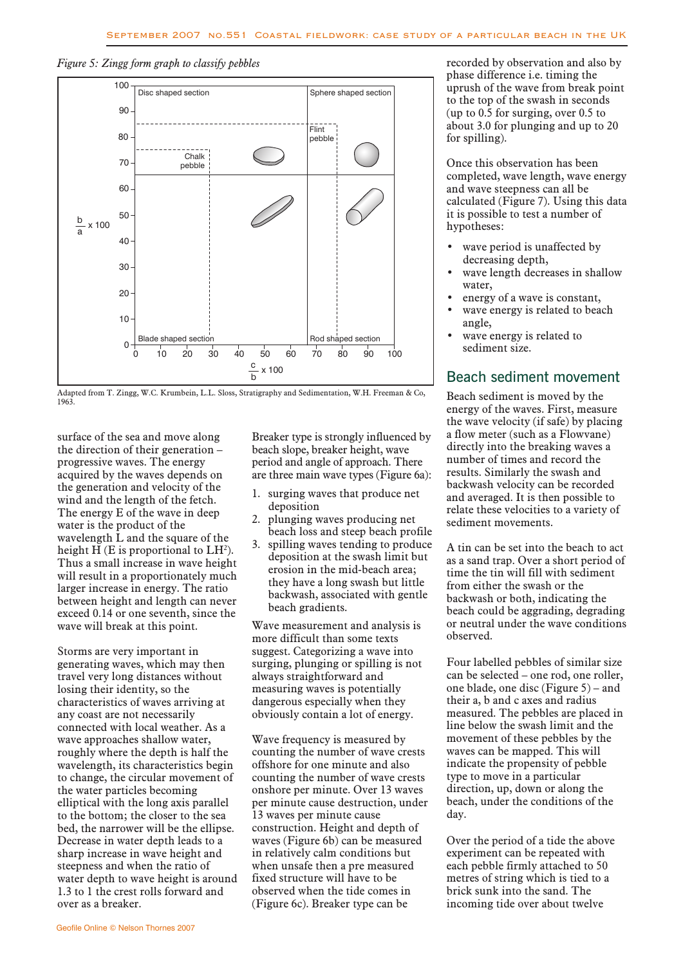*Figure 5: Zingg form graph to classify pebbles*



Adapted from T. Zingg, W.C. Krumbein, L.L. Sloss, Stratigraphy and Sedimentation, W.H. Freeman & Co, 1963.

surface of the sea and move along the direction of their generation – progressive waves. The energy acquired by the waves depends on the generation and velocity of the wind and the length of the fetch. The energy E of the wave in deep water is the product of the wavelength L and the square of the height H (E is proportional to  $LH<sup>2</sup>$ ). Thus a small increase in wave height will result in a proportionately much larger increase in energy. The ratio between height and length can never exceed 0.14 or one seventh, since the wave will break at this point.

Storms are very important in generating waves, which may then travel very long distances without losing their identity, so the characteristics of waves arriving at any coast are not necessarily connected with local weather. As a wave approaches shallow water, roughly where the depth is half the wavelength, its characteristics begin to change, the circular movement of the water particles becoming elliptical with the long axis parallel to the bottom; the closer to the sea bed, the narrower will be the ellipse. Decrease in water depth leads to a sharp increase in wave height and steepness and when the ratio of water depth to wave height is around 1.3 to 1 the crest rolls forward and over as a breaker.

long Breaker type is strongly influenced by beach slope, breaker height, wave period and angle of approach. There are three main wave types (Figure 6a):  $\sum_{n=1}^{\infty}$  Dreaker type is s

- 1. surging waves that produce net deposition
- 2. plunging waves producing net beach loss and steep beach profile
- 3. spilling waves tending to produce deposition at the swash limit but erosion in the mid-beach area; they have a long swash but little backwash, associated with gentle beach gradients.

Wave measurement and analysis is more difficult than some texts suggest. Categorizing a wave into surging, plunging or spilling is not always straightforward and measuring waves is potentially dangerous especially when they obviously contain a lot of energy.

Wave frequency is measured by counting the number of wave crests offshore for one minute and also counting the number of wave crests onshore per minute. Over 13 waves per minute cause destruction, under 13 waves per minute cause construction. Height and depth of waves (Figure 6b) can be measured in relatively calm conditions but when unsafe then a pre measured fixed structure will have to be observed when the tide comes in (Figure 6c). Breaker type can be

recorded by observation and also by phase difference i.e. timing the uprush of the wave from break point to the top of the swash in seconds (up to 0.5 for surging, over 0.5 to about 3.0 for plunging and up to 20 for spilling).

Once this observation has been completed, wave length, wave energy and wave steepness can all be calculated (Figure 7). Using this data it is possible to test a number of hypotheses:

- wave period is unaffected by decreasing depth,
- wave length decreases in shallow water,
- energy of a wave is constant,
- wave energy is related to beach angle,
- wave energy is related to sediment size.

#### Beach sediment movement

Beach sediment is moved by the energy of the waves. First, measure the wave velocity (if safe) by placing a flow meter (such as a Flowvane) directly into the breaking waves a number of times and record the results. Similarly the swash and backwash velocity can be recorded and averaged. It is then possible to relate these velocities to a variety of sediment movements.

A tin can be set into the beach to act as a sand trap. Over a short period of time the tin will fill with sediment from either the swash or the backwash or both, indicating the beach could be aggrading, degrading or neutral under the wave conditions observed.

Four labelled pebbles of similar size can be selected – one rod, one roller, one blade, one disc (Figure 5) – and their a, b and c axes and radius measured. The pebbles are placed in line below the swash limit and the movement of these pebbles by the waves can be mapped. This will indicate the propensity of pebble type to move in a particular direction, up, down or along the beach, under the conditions of the day.

Over the period of a tide the above experiment can be repeated with each pebble firmly attached to 50 metres of string which is tied to a brick sunk into the sand. The incoming tide over about twelve